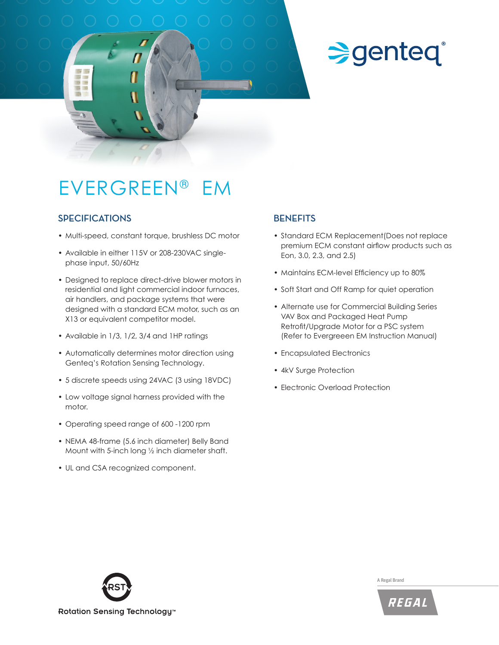# **Sgenteq®**

### EVERGREEN® EM

#### **SPECIFICATIONS**

- Multi-speed, constant torque, brushless DC motor
- Available in either 115V or 208-230VAC singlephase input, 50/60Hz
- Designed to replace direct-drive blower motors in residential and light commercial indoor furnaces, air handlers, and package systems that were designed with a standard ECM motor, such as an X13 or equivalent competitor model.
- Available in 1/3, 1/2, 3/4 and 1HP ratings
- Automatically determines motor direction using Genteq's Rotation Sensing Technology.
- 5 discrete speeds using 24VAC (3 using 18VDC)
- Low voltage signal harness provided with the motor.
- Operating speed range of 600 -1200 rpm
- NEMA 48-frame (5.6 inch diameter) Belly Band Mount with 5-inch long ½ inch diameter shaft.
- UL and CSA recognized component.

#### **BENEFITS**

- Standard ECM Replacement(Does not replace premium ECM constant airflow products such as Eon, 3.0, 2.3, and 2.5)
- Maintains ECM-level Efficiency up to 80%
- Soft Start and Off Ramp for quiet operation
- Alternate use for Commercial Building Series VAV Box and Packaged Heat Pump Retrofit/Upgrade Motor for a PSC system (Refer to Evergreeen EM Instruction Manual)
- Encapsulated Electronics
- 4kV Surge Protection
- Electronic Overload Protection



A Regal Brand

REGAL